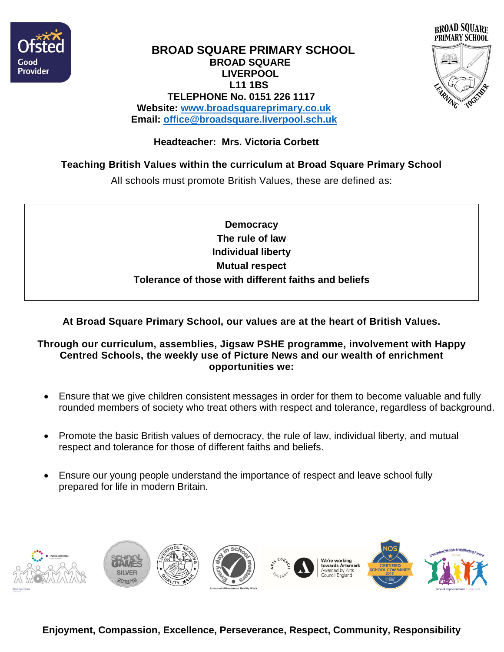



#### **BROAD SQUARE PRIMARY SCHOOL BROAD SQUARE LIVERPOOL L11 1BS TELEPHONE No. 0151 226 1117 Website: [www.broadsquareprimary.co.uk](http://www.broadsquareprimary.co.uk/) Email: [office@broadsquare.liverpool.sch.uk](mailto:office@broadsquare.liverpool.sch.uk)**

### **Headteacher: Mrs. Victoria Corbett**

## **Teaching British Values within the curriculum at Broad Square Primary School**

All schools must promote British Values, these are defined as:

**Democracy The rule of law Individual liberty Mutual respect Tolerance of those with different faiths and beliefs**

**At Broad Square Primary School, our values are at the heart of British Values.**

#### **Through our curriculum, assemblies, Jigsaw PSHE programme, involvement with Happy Centred Schools, the weekly use of Picture News and our wealth of enrichment opportunities we:**

- Ensure that we give children consistent messages in order for them to become valuable and fully rounded members of society who treat others with respect and tolerance, regardless of background.
- Promote the basic British values of democracy, the rule of law, individual liberty, and mutual respect and tolerance for those of different faiths and beliefs.
- Ensure our young people understand the importance of respect and leave school fully prepared for life in modern Britain.



**Enjoyment, Compassion, Excellence, Perseverance, Respect, Community, Responsibility**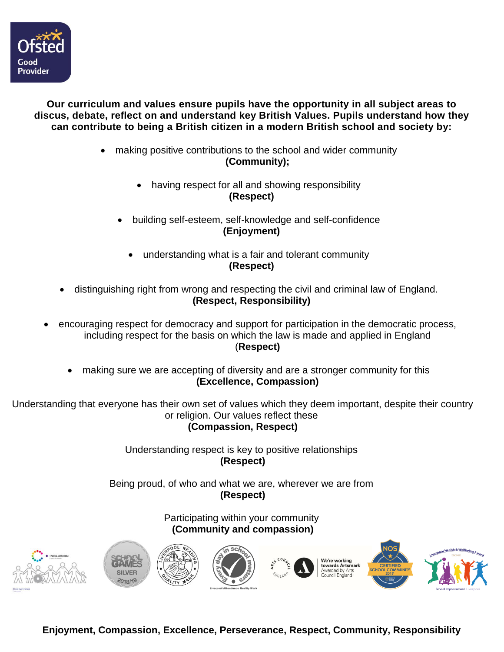

#### **Our curriculum and values ensure pupils have the opportunity in all subject areas to discus, debate, reflect on and understand key British Values. Pupils understand how they can contribute to being a British citizen in a modern British school and society by:**

- making positive contributions to the school and wider community **(Community);**
	- having respect for all and showing responsibility **(Respect)**
	- building self-esteem, self-knowledge and self-confidence **(Enjoyment)**
		- understanding what is a fair and tolerant community **(Respect)**
- distinguishing right from wrong and respecting the civil and criminal law of England. **(Respect, Responsibility)**
- encouraging respect for democracy and support for participation in the democratic process, including respect for the basis on which the law is made and applied in England (**Respect)**
	- making sure we are accepting of diversity and are a stronger community for this **(Excellence, Compassion)**

Understanding that everyone has their own set of values which they deem important, despite their country or religion. Our values reflect these

**(Compassion, Respect)**

Understanding respect is key to positive relationships **(Respect)**

Being proud, of who and what we are, wherever we are from **(Respect)**

> Participating within your community **(Community and compassion)**



**Enjoyment, Compassion, Excellence, Perseverance, Respect, Community, Responsibility**